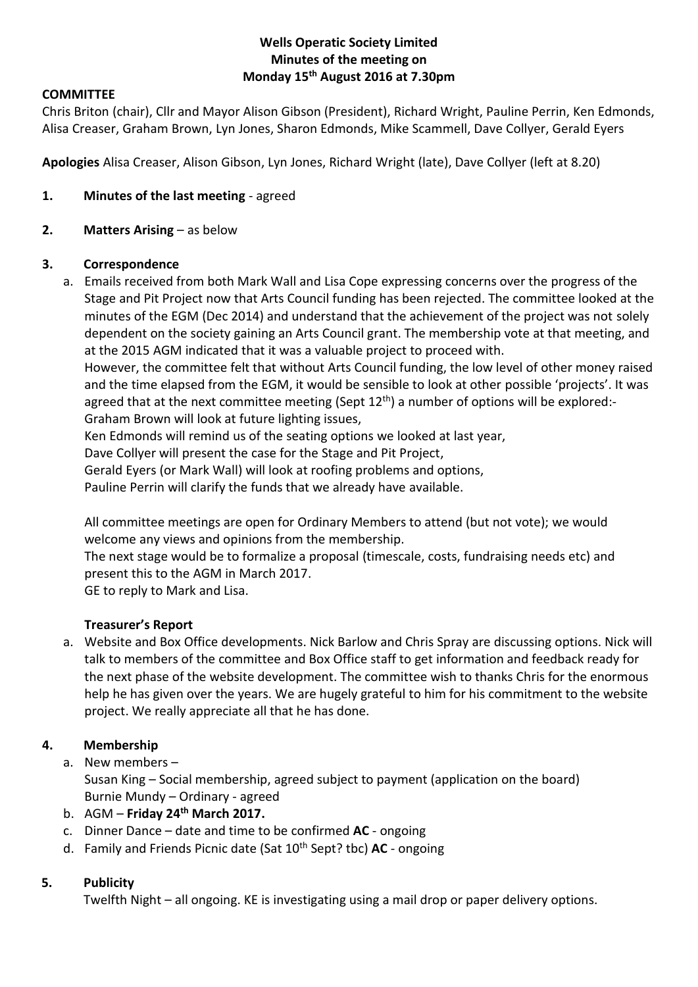## **Wells Operatic Society Limited Minutes of the meeting on Monday 15th August 2016 at 7.30pm**

## **COMMITTEE**

Chris Briton (chair), Cllr and Mayor Alison Gibson (President), Richard Wright, Pauline Perrin, Ken Edmonds, Alisa Creaser, Graham Brown, Lyn Jones, Sharon Edmonds, Mike Scammell, Dave Collyer, Gerald Eyers

**Apologies** Alisa Creaser, Alison Gibson, Lyn Jones, Richard Wright (late), Dave Collyer (left at 8.20)

- **1. Minutes of the last meeting** agreed
- **2. Matters Arising** as below

### **3. Correspondence**

a. Emails received from both Mark Wall and Lisa Cope expressing concerns over the progress of the Stage and Pit Project now that Arts Council funding has been rejected. The committee looked at the minutes of the EGM (Dec 2014) and understand that the achievement of the project was not solely dependent on the society gaining an Arts Council grant. The membership vote at that meeting, and at the 2015 AGM indicated that it was a valuable project to proceed with.

However, the committee felt that without Arts Council funding, the low level of other money raised and the time elapsed from the EGM, it would be sensible to look at other possible 'projects'. It was agreed that at the next committee meeting (Sept  $12<sup>th</sup>$ ) a number of options will be explored:-

Graham Brown will look at future lighting issues,

Ken Edmonds will remind us of the seating options we looked at last year,

Dave Collyer will present the case for the Stage and Pit Project,

Gerald Eyers (or Mark Wall) will look at roofing problems and options,

Pauline Perrin will clarify the funds that we already have available.

All committee meetings are open for Ordinary Members to attend (but not vote); we would welcome any views and opinions from the membership.

The next stage would be to formalize a proposal (timescale, costs, fundraising needs etc) and present this to the AGM in March 2017.

GE to reply to Mark and Lisa.

### **Treasurer's Report**

a. Website and Box Office developments. Nick Barlow and Chris Spray are discussing options. Nick will talk to members of the committee and Box Office staff to get information and feedback ready for the next phase of the website development. The committee wish to thanks Chris for the enormous help he has given over the years. We are hugely grateful to him for his commitment to the website project. We really appreciate all that he has done.

# **4. Membership**

a. New members –

Susan King – Social membership, agreed subject to payment (application on the board) Burnie Mundy – Ordinary - agreed

- b. AGM **Friday 24th March 2017.**
- c. Dinner Dance date and time to be confirmed **AC** ongoing
- d. Family and Friends Picnic date (Sat 10<sup>th</sup> Sept? tbc) **AC** ongoing

# **5. Publicity**

Twelfth Night – all ongoing. KE is investigating using a mail drop or paper delivery options.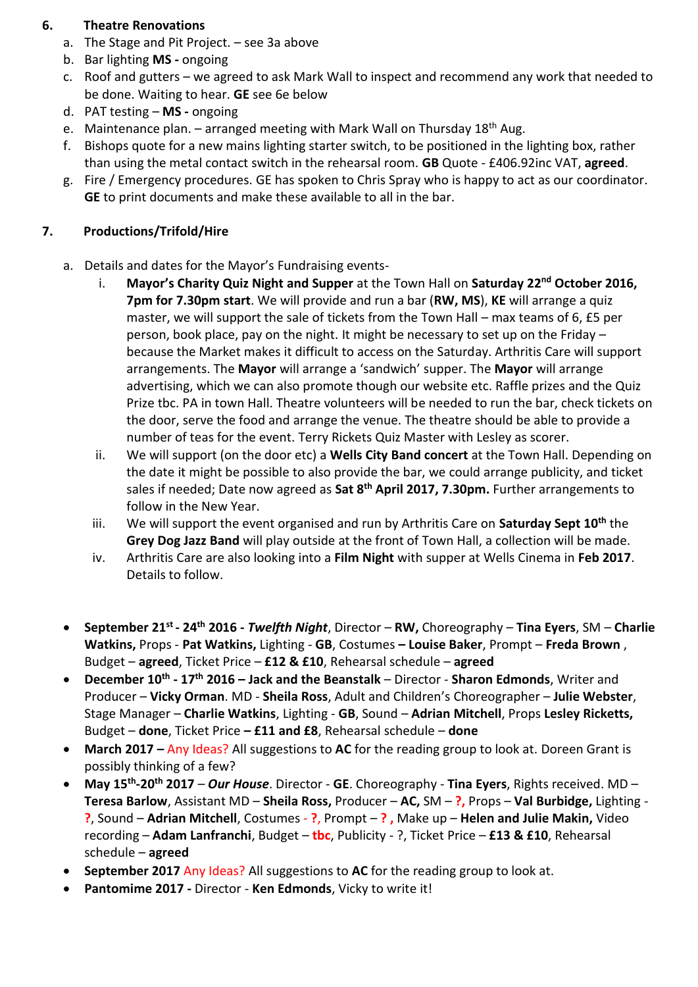# **6. Theatre Renovations**

- a. The Stage and Pit Project. see 3a above
- b. Bar lighting **MS -** ongoing
- c. Roof and gutters we agreed to ask Mark Wall to inspect and recommend any work that needed to be done. Waiting to hear. **GE** see 6e below
- d. PAT testing **MS -** ongoing
- e. Maintenance plan. arranged meeting with Mark Wall on Thursday  $18<sup>th</sup>$  Aug.
- f. Bishops quote for a new mains lighting starter switch, to be positioned in the lighting box, rather than using the metal contact switch in the rehearsal room. **GB** Quote - £406.92inc VAT, **agreed**.
- g. Fire / Emergency procedures. GE has spoken to Chris Spray who is happy to act as our coordinator. **GE** to print documents and make these available to all in the bar.

# **7. Productions/Trifold/Hire**

- a. Details and dates for the Mayor's Fundraising events
	- i. **Mayor's Charity Quiz Night and Supper** at the Town Hall on **Saturday 22nd October 2016, 7pm for 7.30pm start**. We will provide and run a bar (**RW, MS**), **KE** will arrange a quiz master, we will support the sale of tickets from the Town Hall – max teams of 6, £5 per person, book place, pay on the night. It might be necessary to set up on the Friday – because the Market makes it difficult to access on the Saturday. Arthritis Care will support arrangements. The **Mayor** will arrange a 'sandwich' supper. The **Mayor** will arrange advertising, which we can also promote though our website etc. Raffle prizes and the Quiz Prize tbc. PA in town Hall. Theatre volunteers will be needed to run the bar, check tickets on the door, serve the food and arrange the venue. The theatre should be able to provide a number of teas for the event. Terry Rickets Quiz Master with Lesley as scorer.
	- ii. We will support (on the door etc) a **Wells City Band concert** at the Town Hall. Depending on the date it might be possible to also provide the bar, we could arrange publicity, and ticket sales if needed; Date now agreed as **Sat 8th April 2017, 7.30pm.** Further arrangements to follow in the New Year.
	- iii. We will support the event organised and run by Arthritis Care on **Saturday Sept 10th** the **Grey Dog Jazz Band** will play outside at the front of Town Hall, a collection will be made.
	- iv. Arthritis Care are also looking into a **Film Night** with supper at Wells Cinema in **Feb 2017**. Details to follow.
- **September 21st - 24th 2016 -** *Twelfth Night*, Director **RW,** Choreography **Tina Eyers**, SM **Charlie Watkins,** Props - **Pat Watkins,** Lighting - **GB**, Costumes **– Louise Baker**, Prompt – **Freda Brown** , Budget – **agreed**, Ticket Price – **£12 & £10**, Rehearsal schedule – **agreed**
- **December 10th - 17th 2016 – Jack and the Beanstalk** Director **Sharon Edmonds**, Writer and Producer – **Vicky Orman**. MD - **Sheila Ross**, Adult and Children's Choreographer – **Julie Webster**, Stage Manager – **Charlie Watkins**, Lighting - **GB**, Sound – **Adrian Mitchell**, Props **Lesley Ricketts,**  Budget – **done**, Ticket Price **– £11 and £8**, Rehearsal schedule – **done**
- **March 2017 –** Any Ideas? All suggestions to **AC** for the reading group to look at. Doreen Grant is possibly thinking of a few?
- **May 15th -20th 2017** *Our House*. Director **GE**. Choreography **Tina Eyers**, Rights received. MD **Teresa Barlow**, Assistant MD – **Sheila Ross,** Producer – **AC,** SM – **?,** Props – **Val Burbidge,** Lighting - **?**, Sound – **Adrian Mitchell**, Costumes - **?**, Prompt – **? ,** Make up – **Helen and Julie Makin,** Video recording – **Adam Lanfranchi**, Budget – **tbc**, Publicity - ?, Ticket Price – **£13 & £10**, Rehearsal schedule – **agreed**
- **September 2017** Any Ideas? All suggestions to **AC** for the reading group to look at.
- **Pantomime 2017 -** Director **Ken Edmonds**, Vicky to write it!